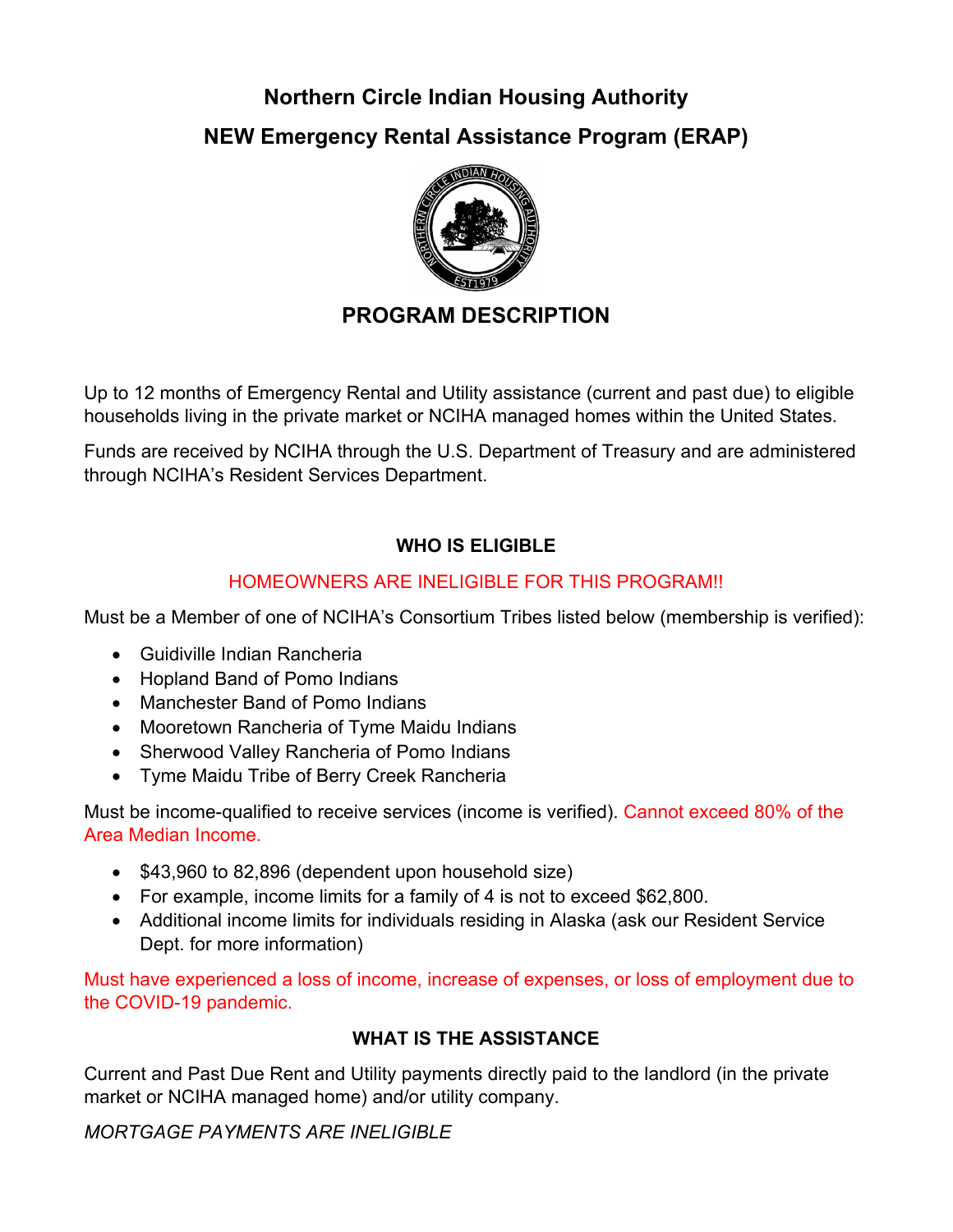# **Northern Circle Indian Housing Authority NEW Emergency Rental Assistance Program (ERAP)**



# **PROGRAM DESCRIPTION**

Up to 12 months of Emergency Rental and Utility assistance (current and past due) to eligible households living in the private market or NCIHA managed homes within the United States.

Funds are received by NCIHA through the U.S. Department of Treasury and are administered through NCIHA's Resident Services Department.

# **WHO IS ELIGIBLE**

### HOMEOWNERS ARE INELIGIBLE FOR THIS PROGRAM!!

Must be a Member of one of NCIHA's Consortium Tribes listed below (membership is verified):

- Guidiville Indian Rancheria
- Hopland Band of Pomo Indians
- Manchester Band of Pomo Indians
- Mooretown Rancheria of Tyme Maidu Indians
- Sherwood Valley Rancheria of Pomo Indians
- Tyme Maidu Tribe of Berry Creek Rancheria

Must be income-qualified to receive services (income is verified). Cannot exceed 80% of the Area Median Income.

- $\bullet$  \$43,960 to 82,896 (dependent upon household size)
- For example, income limits for a family of 4 is not to exceed \$62,800.
- Additional income limits for individuals residing in Alaska (ask our Resident Service Dept. for more information)

Must have experienced a loss of income, increase of expenses, or loss of employment due to the COVID-19 pandemic.

#### **WHAT IS THE ASSISTANCE**

Current and Past Due Rent and Utility payments directly paid to the landlord (in the private market or NCIHA managed home) and/or utility company.

*MORTGAGE PAYMENTS ARE INELIGIBLE*